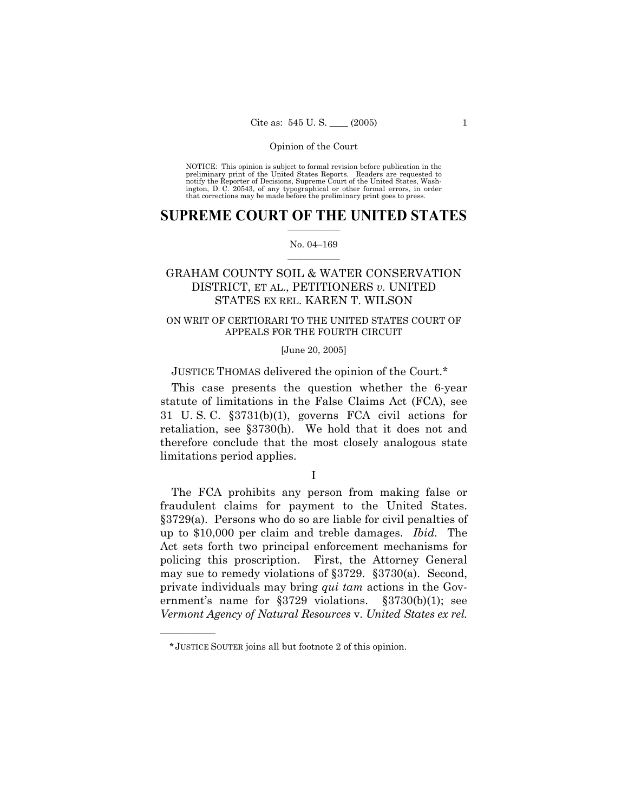NOTICE: This opinion is subject to formal revision before publication in the preliminary print of the United States Reports. Readers are requested to notify the Reporter of Decisions, Supreme Court of the United States, Washington, D. C. 20543, of any typographical or other formal errors, in order that corrections may be made before the preliminary print goes to press.

### **SUPREME COURT OF THE UNITED STATES**  $\frac{1}{2}$  ,  $\frac{1}{2}$  ,  $\frac{1}{2}$  ,  $\frac{1}{2}$  ,  $\frac{1}{2}$  ,  $\frac{1}{2}$  ,  $\frac{1}{2}$

#### No. 04-169  $\mathcal{L}=\mathcal{L}$

# GRAHAM COUNTY SOIL & WATER CONSERVATION DISTRICT, ET AL., PETITIONERS *v.* UNITED STATES EX REL. KAREN T. WILSON

## ON WRIT OF CERTIORARI TO THE UNITED STATES COURT OF APPEALS FOR THE FOURTH CIRCUIT

### [June 20, 2005]

## JUSTICE THOMAS delivered the opinion of the Court.\*

 This case presents the question whether the 6-year statute of limitations in the False Claims Act (FCA), see 31 U. S. C. ß3731(b)(1), governs FCA civil actions for retaliation, see ß3730(h). We hold that it does not and therefore conclude that the most closely analogous state limitations period applies.

I

 The FCA prohibits any person from making false or fraudulent claims for payment to the United States. ß3729(a). Persons who do so are liable for civil penalties of up to \$10,000 per claim and treble damages. *Ibid.* The Act sets forth two principal enforcement mechanisms for policing this proscription. First, the Attorney General may sue to remedy violations of ß3729. ß3730(a). Second, private individuals may bring *qui tam* actions in the Government's name for  $\S 3729$  violations.  $\S 3730(b)(1)$ ; see *Vermont Agency of Natural Resources* v. *United States ex rel.* 

<sup>\*</sup>JUSTICE SOUTER joins all but footnote 2 of this opinion.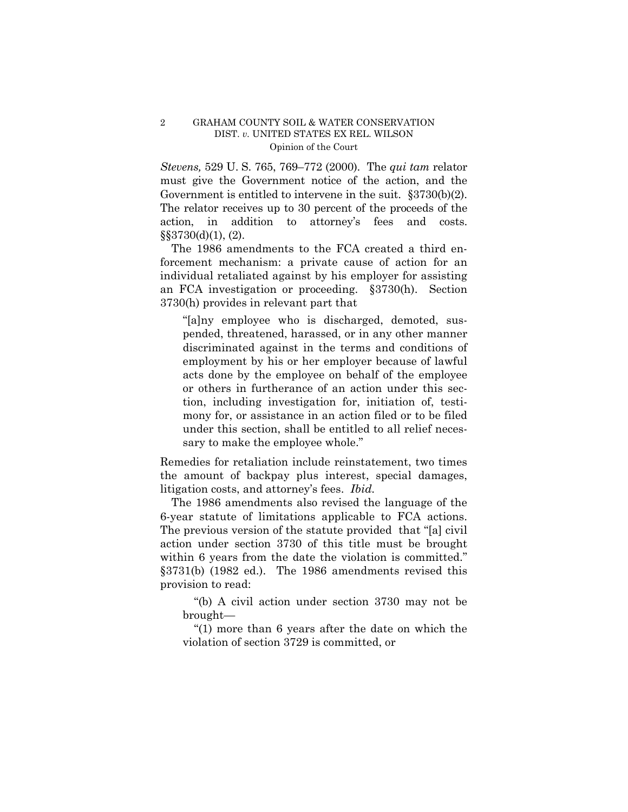*Stevens, 529 U. S. 765, 769–772 (2000). The <i>qui tam relator* must give the Government notice of the action, and the Government is entitled to intervene in the suit.  $\S 3730(b)(2)$ . The relator receives up to 30 percent of the proceeds of the action, in addition to attorney's fees and costs.  $\S$ §3730(d)(1), (2).

 The 1986 amendments to the FCA created a third enforcement mechanism: a private cause of action for an individual retaliated against by his employer for assisting an FCA investigation or proceeding. ß3730(h). Section 3730(h) provides in relevant part that

"[a]ny employee who is discharged, demoted, suspended, threatened, harassed, or in any other manner discriminated against in the terms and conditions of employment by his or her employer because of lawful acts done by the employee on behalf of the employee or others in furtherance of an action under this section, including investigation for, initiation of, testimony for, or assistance in an action filed or to be filed under this section, shall be entitled to all relief necessary to make the employee whole."

Remedies for retaliation include reinstatement, two times the amount of backpay plus interest, special damages, litigation costs, and attorney's fees. *Ibid.* 

 The 1986 amendments also revised the language of the 6-year statute of limitations applicable to FCA actions. The previous version of the statute provided that "[a] civil action under section 3730 of this title must be brought within 6 years from the date the violation is committed." ß3731(b) (1982 ed.). The 1986 amendments revised this provision to read:

 ì(b) A civil action under section 3730 may not be brought-

 $^{\circ}(1)$  more than 6 years after the date on which the violation of section 3729 is committed, or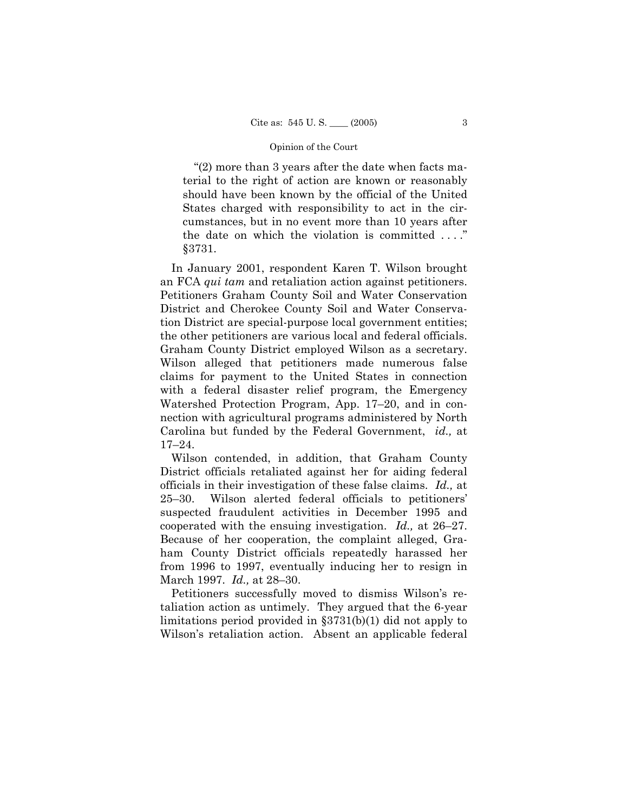" $(2)$  more than 3 years after the date when facts material to the right of action are known or reasonably should have been known by the official of the United States charged with responsibility to act in the circumstances, but in no event more than 10 years after the date on which the violation is committed  $\dots$ . ß3731.

 In January 2001, respondent Karen T. Wilson brought an FCA *qui tam* and retaliation action against petitioners. Petitioners Graham County Soil and Water Conservation District and Cherokee County Soil and Water Conservation District are special-purpose local government entities; the other petitioners are various local and federal officials. Graham County District employed Wilson as a secretary. Wilson alleged that petitioners made numerous false claims for payment to the United States in connection with a federal disaster relief program, the Emergency Watershed Protection Program, App. 17–20, and in connection with agricultural programs administered by North Carolina but funded by the Federal Government, *id.,* at  $17 - 24$ .

 Wilson contended, in addition, that Graham County District officials retaliated against her for aiding federal officials in their investigation of these false claims. *Id.,* at  $25-30$ . Wilson alerted federal officials to petitioners suspected fraudulent activities in December 1995 and cooperated with the ensuing investigation. *Id.*, at 26–27. Because of her cooperation, the complaint alleged, Graham County District officials repeatedly harassed her from 1996 to 1997, eventually inducing her to resign in March 1997. *Id.*, at 28-30.

Petitioners successfully moved to dismiss Wilson's retaliation action as untimely. They argued that the 6-year limitations period provided in ß3731(b)(1) did not apply to Wilson's retaliation action. Absent an applicable federal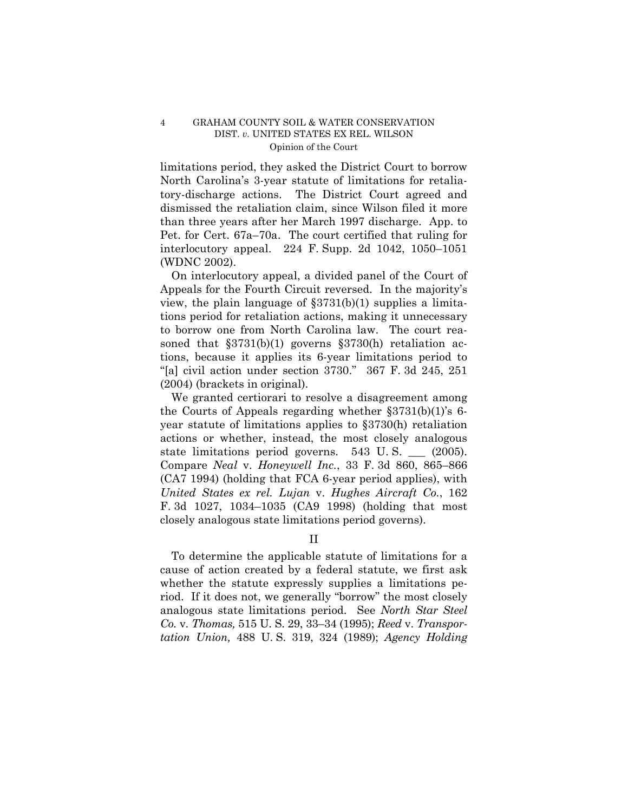limitations period, they asked the District Court to borrow North Carolinaís 3-year statute of limitations for retaliatory-discharge actions. The District Court agreed and dismissed the retaliation claim, since Wilson filed it more than three years after her March 1997 discharge. App. to Pet. for Cert. 67a–70a. The court certified that ruling for interlocutory appeal. 224 F. Supp. 2d  $1042$ ,  $1050-1051$ (WDNC 2002).

 On interlocutory appeal, a divided panel of the Court of Appeals for the Fourth Circuit reversed. In the majority's view, the plain language of  $\S 3731(b)(1)$  supplies a limitations period for retaliation actions, making it unnecessary to borrow one from North Carolina law. The court reasoned that  $$3731(b)(1)$  governs  $$3730(h)$  retaliation actions, because it applies its 6-year limitations period to "[a] civil action under section  $3730$ ."  $367$  F. 3d  $245$ ,  $251$ (2004) (brackets in original).

 We granted certiorari to resolve a disagreement among the Courts of Appeals regarding whether  $\S 3731(b)(1)$ 's 6year statute of limitations applies to ß3730(h) retaliation actions or whether, instead, the most closely analogous state limitations period governs. 543 U. S. \_\_\_ (2005). Compare *Neal v. Honeywell Inc.*, 33 F. 3d 860, 865–866 (CA7 1994) (holding that FCA 6-year period applies), with *United States ex rel. Lujan* v. *Hughes Aircraft Co.*, 162 F. 3d  $1027$ ,  $1034-1035$  (CA9 1998) (holding that most closely analogous state limitations period governs).

II

 To determine the applicable statute of limitations for a cause of action created by a federal statute, we first ask whether the statute expressly supplies a limitations period. If it does not, we generally "borrow" the most closely analogous state limitations period. See *North Star Steel Co.* v. *Thomas,* 515 U. S. 29, 33–34 (1995); *Reed* v. *Transportation Union,* 488 U. S. 319, 324 (1989); *Agency Holding*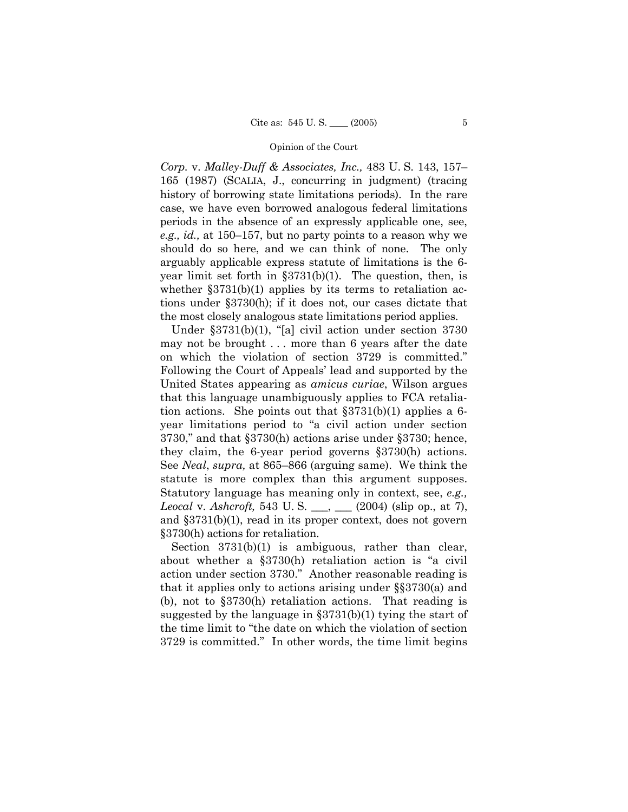*Corp.* v. *Malley-Duff & Associates, Inc.,* 483 U.S. 143, 157– 165 (1987) (SCALIA, J., concurring in judgment) (tracing history of borrowing state limitations periods). In the rare case, we have even borrowed analogous federal limitations periods in the absence of an expressly applicable one, see, *e.g., id.*, at  $150-157$ , but no party points to a reason why we should do so here, and we can think of none. The only arguably applicable express statute of limitations is the 6 year limit set forth in  $\S 3731(b)(1)$ . The question, then, is whether  $\S 3731(b)(1)$  applies by its terms to retaliation actions under ß3730(h); if it does not, our cases dictate that the most closely analogous state limitations period applies.

Under  $\S 3731(b)(1)$ , "[a] civil action under section 3730 may not be brought . . . more than 6 years after the date on which the violation of section 3729 is committed. Following the Court of Appeals' lead and supported by the United States appearing as *amicus curiae*, Wilson argues that this language unambiguously applies to FCA retaliation actions. She points out that  $\S 3731(b)(1)$  applies a 6year limitations period to "a civil action under section  $3730$ ," and that  $\S 3730(h)$  actions arise under  $\S 3730$ ; hence, they claim, the 6-year period governs ß3730(h) actions. See *Neal*, *supra*, at 865–866 (arguing same). We think the statute is more complex than this argument supposes. Statutory language has meaning only in context, see, *e.g., Leocal* v. *Ashcroft,* 543 U. S. \_\_\_, \_\_\_ (2004) (slip op., at 7), and ß3731(b)(1), read in its proper context, does not govern ß3730(h) actions for retaliation.

Section 3731(b)(1) is ambiguous, rather than clear, about whether a  $\S 3730(h)$  retaliation action is "a civil action under section 3730." Another reasonable reading is that it applies only to actions arising under  $\S$  $3730(a)$  and (b), not to  $\S 3730(h)$  retaliation actions. That reading is suggested by the language in  $\S 3731(b)(1)$  tying the start of the time limit to "the date on which the violation of section 3729 is committed.î In other words, the time limit begins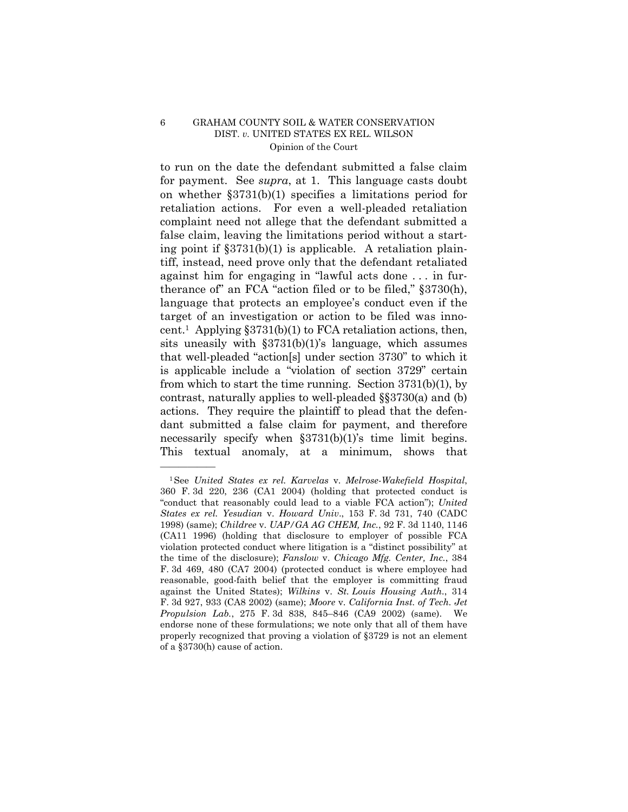to run on the date the defendant submitted a false claim for payment. See *supra*, at 1. This language casts doubt on whether ß3731(b)(1) specifies a limitations period for retaliation actions. For even a well-pleaded retaliation complaint need not allege that the defendant submitted a false claim, leaving the limitations period without a starting point if  $\S 3731(b)(1)$  is applicable. A retaliation plaintiff, instead, need prove only that the defendant retaliated against him for engaging in "lawful acts done  $\dots$  in furtherance of" an FCA "action filed or to be filed,"  $\S 3730(h)$ , language that protects an employee's conduct even if the target of an investigation or action to be filed was innocent.<sup>1</sup> Applying  $$3731(b)(1)$  to FCA retaliation actions, then, sits uneasily with  $\S 3731(b)(1)$ 's language, which assumes that well-pleaded " $\arctan[s]$  under section 3730" to which it is applicable include a "violation of section 3729" certain from which to start the time running. Section 3731(b)(1), by contrast, naturally applies to well-pleaded  $\S$  $3730$ (a) and (b) actions. They require the plaintiff to plead that the defendant submitted a false claim for payment, and therefore necessarily specify when  $\S 3731(b)(1)$ 's time limit begins. This textual anomaly, at a minimum, shows that

<sup>1</sup>See *United States ex rel. Karvelas* v. *Melrose-Wakefield Hospital*, 360 F. 3d 220, 236 (CA1 2004) (holding that protected conduct is "conduct that reasonably could lead to a viable FCA action"); *United States ex rel. Yesudian* v. *Howard Univ*., 153 F. 3d 731, 740 (CADC 1998) (same); *Childree* v. *UAP/GA AG CHEM, Inc.*, 92 F. 3d 1140, 1146 (CA11 1996) (holding that disclosure to employer of possible FCA violation protected conduct where litigation is a "distinct possibility" at the time of the disclosure); *Fanslow* v. *Chicago Mfg. Center, Inc.*, 384 F. 3d 469, 480 (CA7 2004) (protected conduct is where employee had reasonable, good-faith belief that the employer is committing fraud against the United States); *Wilkins* v. *St. Louis Housing Auth.*, 314 F. 3d 927, 933 (CA8 2002) (same); *Moore* v. *California Inst. of Tech. Jet Propulsion Lab.*, 275 F. 3d 838, 845-846 (CA9 2002) (same). We endorse none of these formulations; we note only that all of them have properly recognized that proving a violation of ß3729 is not an element of a ß3730(h) cause of action.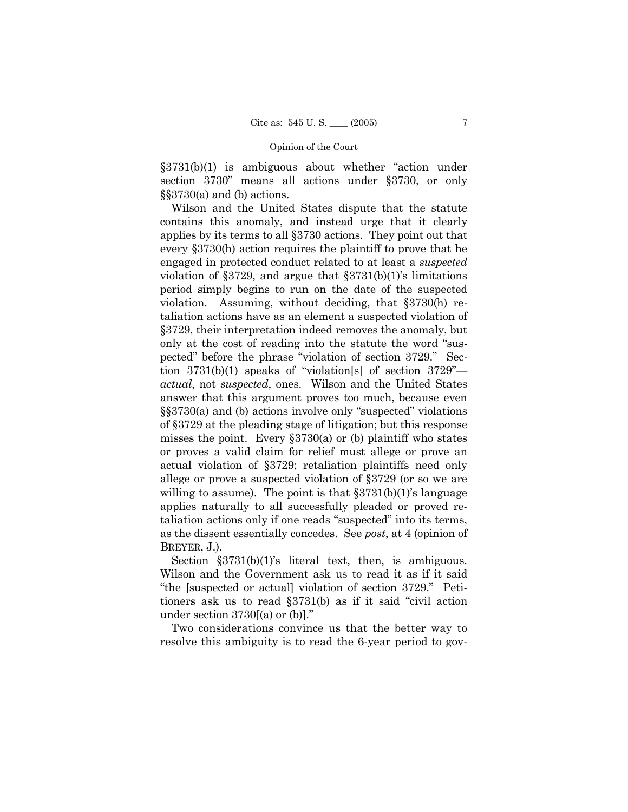$§3731(b)(1)$  is ambiguous about whether "action under section 3730" means all actions under §3730, or only  $\S$ \$3730(a) and (b) actions.

 Wilson and the United States dispute that the statute contains this anomaly, and instead urge that it clearly applies by its terms to all ß3730 actions. They point out that every ß3730(h) action requires the plaintiff to prove that he engaged in protected conduct related to at least a *suspected*  violation of  $\S 3729$ , and argue that  $\S 3731(b)(1)$ 's limitations period simply begins to run on the date of the suspected violation. Assuming, without deciding, that ß3730(h) retaliation actions have as an element a suspected violation of ß3729, their interpretation indeed removes the anomaly, but only at the cost of reading into the statute the word "suspected" before the phrase "violation of section 3729." Section  $3731(b)(1)$  speaks of "violation[s] of section  $3729$ <sup>n</sup> *actual*, not *suspected*, ones. Wilson and the United States answer that this argument proves too much, because even  $\S$ \$3730(a) and (b) actions involve only "suspected" violations of ß3729 at the pleading stage of litigation; but this response misses the point. Every  $\S 3730(a)$  or (b) plaintiff who states or proves a valid claim for relief must allege or prove an actual violation of ß3729; retaliation plaintiffs need only allege or prove a suspected violation of ß3729 (or so we are willing to assume). The point is that  $\S 3731(b)(1)$ 's language applies naturally to all successfully pleaded or proved retaliation actions only if one reads "suspected" into its terms, as the dissent essentially concedes. See *post*, at 4 (opinion of BREYER, J.).

Section  $$3731(b)(1)$ 's literal text, then, is ambiguous. Wilson and the Government ask us to read it as if it said "the [suspected or actual] violation of section 3729." Petitioners ask us to read  $\S 3731(b)$  as if it said "civil action" under section  $3730[(a)$  or  $(b)]$ ."

 Two considerations convince us that the better way to resolve this ambiguity is to read the 6-year period to gov-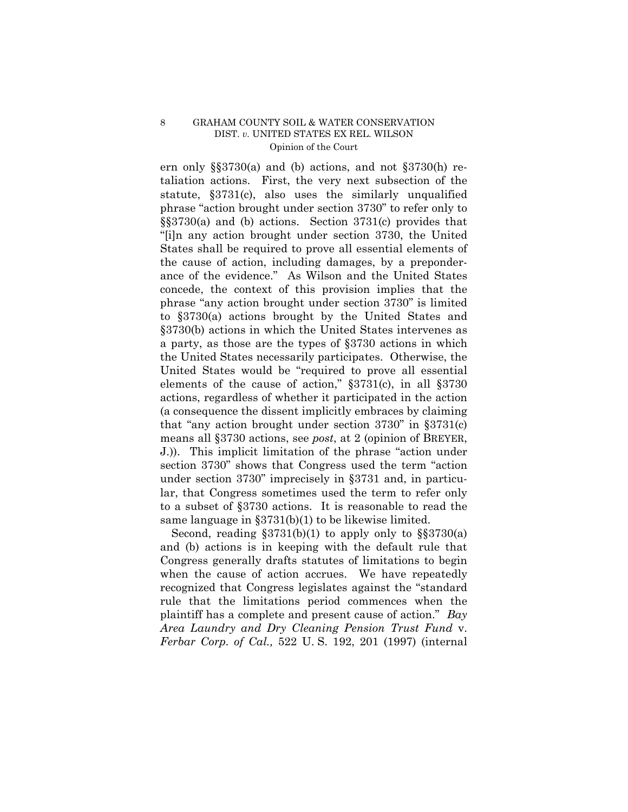ern only  $\S$  $\S$ 3730(a) and (b) actions, and not  $\S$ 3730(h) retaliation actions. First, the very next subsection of the statute, ß3731(c), also uses the similarly unqualified phrase "action brought under section 3730" to refer only to  $\S$ \$3730(a) and (b) actions. Section 3731(c) provides that ì[i]n any action brought under section 3730, the United States shall be required to prove all essential elements of the cause of action, including damages, by a preponderance of the evidence." As Wilson and the United States concede, the context of this provision implies that the phrase "any action brought under section 3730" is limited to ß3730(a) actions brought by the United States and ß3730(b) actions in which the United States intervenes as a party, as those are the types of ß3730 actions in which the United States necessarily participates. Otherwise, the United States would be "required to prove all essential elements of the cause of action,"  $\S 3731(c)$ , in all  $\S 3730$ actions, regardless of whether it participated in the action (a consequence the dissent implicitly embraces by claiming that "any action brought under section  $3730$ " in  $\S 3731(c)$ means all ß3730 actions, see *post*, at 2 (opinion of BREYER, J.). This implicit limitation of the phrase "action under section 3730" shows that Congress used the term "action" under section 3730" imprecisely in §3731 and, in particular, that Congress sometimes used the term to refer only to a subset of ß3730 actions. It is reasonable to read the same language in ß3731(b)(1) to be likewise limited.

Second, reading  $\S 3731(b)(1)$  to apply only to  $\S 3730(a)$ and (b) actions is in keeping with the default rule that Congress generally drafts statutes of limitations to begin when the cause of action accrues. We have repeatedly recognized that Congress legislates against the "standard" rule that the limitations period commences when the plaintiff has a complete and present cause of action.î *Bay Area Laundry and Dry Cleaning Pension Trust Fund* v. *Ferbar Corp. of Cal.,* 522 U. S. 192, 201 (1997) (internal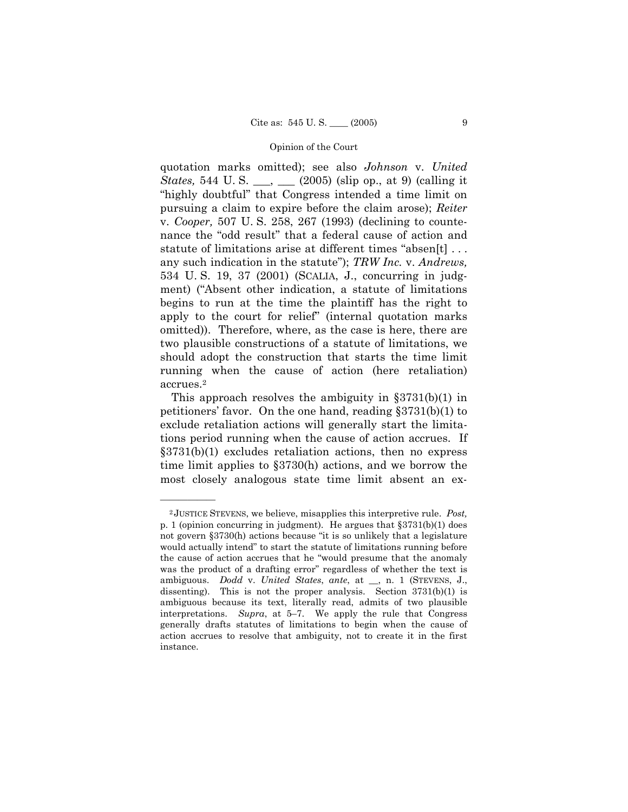quotation marks omitted); see also *Johnson* v. *United States,* 544 U. S. \_\_\_, \_\_\_ (2005) (slip op., at 9) (calling it "highly doubtful" that Congress intended a time limit on pursuing a claim to expire before the claim arose); *Reiter* v. *Cooper,* 507 U. S. 258, 267 (1993) (declining to countenance the "odd result" that a federal cause of action and statute of limitations arise at different times "absen[t]  $\dots$ any such indication in the statute"); *TRW Inc.* v. *Andrews*, 534 U. S. 19, 37 (2001) (SCALIA, J., concurring in judgment) ("Absent other indication, a statute of limitations begins to run at the time the plaintiff has the right to apply to the court for relief" (internal quotation marks omitted)). Therefore, where, as the case is here, there are two plausible constructions of a statute of limitations, we should adopt the construction that starts the time limit running when the cause of action (here retaliation) accrues.2

This approach resolves the ambiguity in  $\S 3731(b)(1)$  in petitioners' favor. On the one hand, reading  $\S 3731(b)(1)$  to exclude retaliation actions will generally start the limitations period running when the cause of action accrues. If  $\S 3731(b)(1)$  excludes retaliation actions, then no express time limit applies to ß3730(h) actions, and we borrow the most closely analogous state time limit absent an ex-

<sup>2</sup> JUSTICE STEVENS, we believe, misapplies this interpretive rule. *Post,*  p. 1 (opinion concurring in judgment). He argues that  $\S 3731(b)(1)$  does not govern  $\S 3730(h)$  actions because "it is so unlikely that a legislature would actually intend" to start the statute of limitations running before the cause of action accrues that he "would presume that the anomaly was the product of a drafting error" regardless of whether the text is ambiguous. *Dodd* v. *United States*, *ante*, at \_\_, n. 1 (STEVENS, J., dissenting). This is not the proper analysis. Section  $3731(b)(1)$  is ambiguous because its text, literally read, admits of two plausible interpretations. *Supra*, at 5–7. We apply the rule that Congress generally drafts statutes of limitations to begin when the cause of action accrues to resolve that ambiguity, not to create it in the first instance.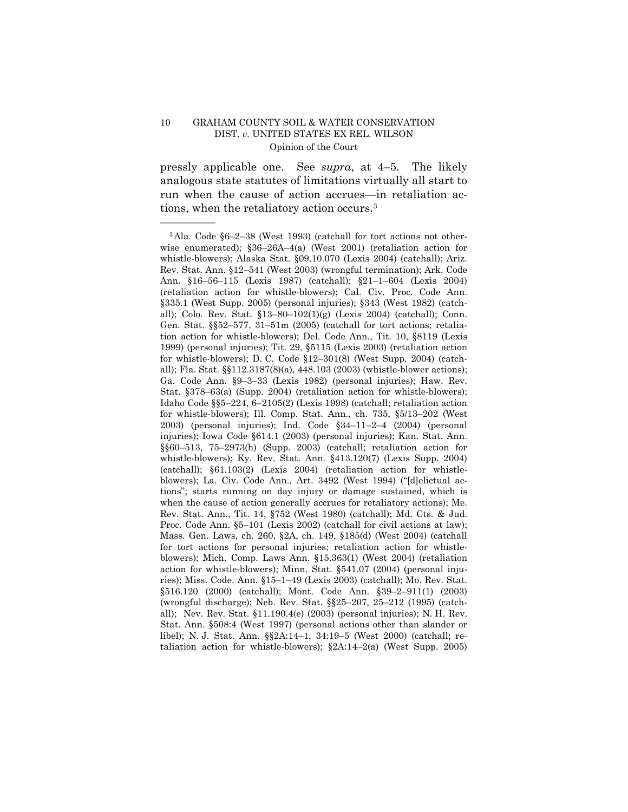óóóóóó

pressly applicable one. See *supra*, at 4–5. The likely analogous state statutes of limitations virtually all start to run when the cause of action accrues—in retaliation actions, when the retaliatory action occurs.3

<sup>&</sup>lt;sup>3</sup>Ala. Code §6-2-38 (West 1993) (catchall for tort actions not otherwise enumerated);  $§36-26A-4(a)$  (West 2001) (retaliation action for whistle-blowers); Alaska Stat. ß09.10.070 (Lexis 2004) (catchall); Ariz. Rev. Stat. Ann. §12-541 (West 2003) (wrongful termination); Ark. Code Ann. §16-56-115 (Lexis 1987) (catchall); §21-1-604 (Lexis 2004) (retaliation action for whistle-blowers); Cal. Civ. Proc. Code Ann. ß335.1 (West Supp. 2005) (personal injuries); ß343 (West 1982) (catchall); Colo. Rev. Stat.  $$13-80-102(1)(g)$  (Lexis 2004) (catchall); Conn. Gen. Stat.  $\S52-577$ , 31-51m (2005) (catchall for tort actions; retaliation action for whistle-blowers); Del. Code Ann., Tit. 10, ß8119 (Lexis 1999) (personal injuries); Tit. 29, ß5115 (Lexis 2003) (retaliation action for whistle-blowers); D. C. Code  $$12-301(8)$  (West Supp. 2004) (catchall); Fla. Stat. ßß112.3187(8)(a), 448.103 (2003) (whistle-blower actions); Ga. Code Ann.  $\S 9-3-33$  (Lexis 1982) (personal injuries); Haw. Rev. Stat.  $§378–63(a)$  (Supp. 2004) (retaliation action for whistle-blowers); Idaho Code  $\S5-224$ , 6-2105(2) (Lexis 1998) (catchall; retaliation action for whistle-blowers); Ill. Comp. Stat. Ann., ch.  $735, \, \frac{\$5}{13}-202$  (West 2003) (personal injuries); Ind. Code  $\S 34-11-2-4$  (2004) (personal injuries); Iowa Code ß614.1 (2003) (personal injuries); Kan. Stat. Ann.  $\S660-513$ , 75-2973(h) (Supp. 2003) (catchall; retaliation action for whistle-blowers); Ky. Rev. Stat. Ann. ß413.120(7) (Lexis Supp. 2004) (catchall); ß61.103(2) (Lexis 2004) (retaliation action for whistleblowers); La. Civ. Code Ann., Art. 3492 (West 1994) ("[d]elictual actionsî; starts running on day injury or damage sustained, which is when the cause of action generally accrues for retaliatory actions); Me. Rev. Stat. Ann., Tit. 14, ß752 (West 1980) (catchall); Md. Cts. & Jud. Proc. Code Ann. §5–101 (Lexis 2002) (catchall for civil actions at law); Mass. Gen. Laws, ch. 260, ß2A, ch. 149, ß185(d) (West 2004) (catchall for tort actions for personal injuries; retaliation action for whistleblowers); Mich. Comp. Laws Ann. ß15.363(1) (West 2004) (retaliation action for whistle-blowers); Minn. Stat. ß541.07 (2004) (personal injuries); Miss. Code. Ann.  $$15–1–49$  (Lexis 2003) (catchall); Mo. Rev. Stat. §516.120 (2000) (catchall); Mont. Code Ann. §39-2-911(1) (2003) (wrongful discharge); Neb. Rev. Stat.  $\S$  $25-207$ ,  $25-212$  (1995) (catchall); Nev. Rev. Stat. ß11.190.4(e) (2003) (personal injuries); N. H. Rev. Stat. Ann. ß508:4 (West 1997) (personal actions other than slander or libel); N. J. Stat. Ann. §§2A:14-1, 34:19-5 (West 2000) (catchall; retaliation action for whistle-blowers);  $\S$ 2A:14-2(a) (West Supp. 2005)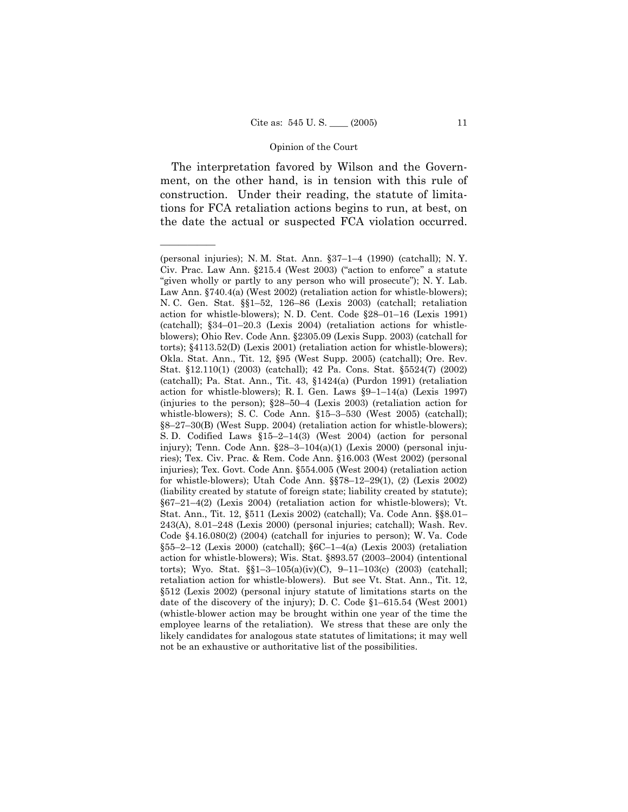The interpretation favored by Wilson and the Government, on the other hand, is in tension with this rule of construction. Under their reading, the statute of limitations for FCA retaliation actions begins to run, at best, on the date the actual or suspected FCA violation occurred.

<sup>(</sup>personal injuries); N. M. Stat. Ann.  $\S37-1-4$  (1990) (catchall); N. Y. Civ. Prac. Law Ann. §215.4 (West 2003) ("action to enforce" a statute "given wholly or partly to any person who will prosecute"); N.Y. Lab. Law Ann. §740.4(a) (West 2002) (retaliation action for whistle-blowers); N. C. Gen. Stat. §§1-52, 126-86 (Lexis 2003) (catchall; retaliation action for whistle-blowers); N. D. Cent. Code  $$28-01-16$  (Lexis 1991) (catchall);  $§34-01-20.3$  (Lexis 2004) (retaliation actions for whistleblowers); Ohio Rev. Code Ann. ß2305.09 (Lexis Supp. 2003) (catchall for torts); ß4113.52(D) (Lexis 2001) (retaliation action for whistle-blowers); Okla. Stat. Ann., Tit. 12, ß95 (West Supp. 2005) (catchall); Ore. Rev. Stat. ß12.110(1) (2003) (catchall); 42 Pa. Cons. Stat. ß5524(7) (2002) (catchall); Pa. Stat. Ann., Tit. 43, ß1424(a) (Purdon 1991) (retaliation action for whistle-blowers); R. I. Gen. Laws  $\S9-1-14(a)$  (Lexis 1997) (injuries to the person);  $§28–50–4$  (Lexis 2003) (retaliation action for whistle-blowers); S. C. Code Ann.  $$15–3–530$  (West 2005) (catchall);  $88-27-30(B)$  (West Supp. 2004) (retaliation action for whistle-blowers); S. D. Codified Laws  $$15-2-14(3)$  (West 2004) (action for personal injury); Tenn. Code Ann.  $$28-3-104(a)(1)$  (Lexis 2000) (personal injuries); Tex. Civ. Prac. & Rem. Code Ann. ß16.003 (West 2002) (personal injuries); Tex. Govt. Code Ann. ß554.005 (West 2004) (retaliation action for whistle-blowers); Utah Code Ann.  $\S$  $78-12-29(1)$ , (2) (Lexis 2002) (liability created by statute of foreign state; liability created by statute);  $§67-21-4(2)$  (Lexis 2004) (retaliation action for whistle-blowers); Vt. Stat. Ann., Tit. 12, §511 (Lexis 2002) (catchall); Va. Code Ann. §§8.01–  $243(A)$ ,  $8.01-248$  (Lexis 2000) (personal injuries; catchall); Wash. Rev. Code ß4.16.080(2) (2004) (catchall for injuries to person); W. Va. Code §55-2-12 (Lexis 2000) (catchall); §6C-1-4(a) (Lexis 2003) (retaliation action for whistle-blowers); Wis. Stat. §893.57 (2003-2004) (intentional torts); Wyo. Stat.  $\S1-3-105(a)(iv)(C)$ , 9-11-103(c) (2003) (catchall; retaliation action for whistle-blowers). But see Vt. Stat. Ann., Tit. 12, ß512 (Lexis 2002) (personal injury statute of limitations starts on the date of the discovery of the injury); D. C. Code  $$1-615.54$  (West 2001) (whistle-blower action may be brought within one year of the time the employee learns of the retaliation). We stress that these are only the likely candidates for analogous state statutes of limitations; it may well not be an exhaustive or authoritative list of the possibilities.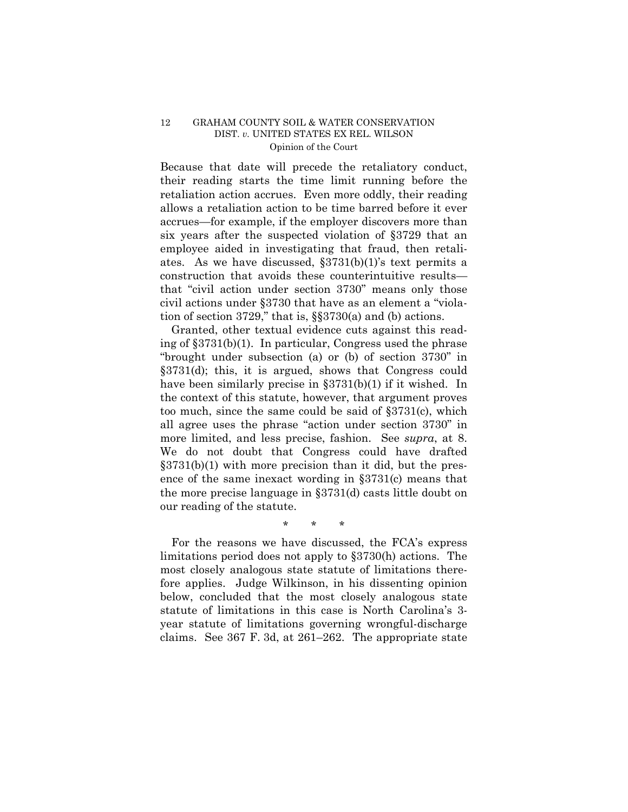Because that date will precede the retaliatory conduct, their reading starts the time limit running before the retaliation action accrues. Even more oddly, their reading allows a retaliation action to be time barred before it ever accrues—for example, if the employer discovers more than six years after the suspected violation of ß3729 that an employee aided in investigating that fraud, then retaliates. As we have discussed,  $\S 3731(b)(1)$ 's text permits a construction that avoids these counterintuitive resultsthat "civil action under section 3730" means only those civil actions under  $\S 3730$  that have as an element a "violation of section 3729," that is,  $\S$  $3730(a)$  and (b) actions.

 Granted, other textual evidence cuts against this reading of ß3731(b)(1). In particular, Congress used the phrase "brought under subsection (a) or (b) of section  $3730$ " in ß3731(d); this, it is argued, shows that Congress could have been similarly precise in  $\S 3731(b)(1)$  if it wished. In the context of this statute, however, that argument proves too much, since the same could be said of  $\S 3731(c)$ , which all agree uses the phrase "action under section 3730" in more limited, and less precise, fashion. See *supra*, at 8. We do not doubt that Congress could have drafted  $\S 3731(b)(1)$  with more precision than it did, but the presence of the same inexact wording in  $\S 3731(c)$  means that the more precise language in ß3731(d) casts little doubt on our reading of the statute.

\* \* \*

 For the reasons we have discussed, the FCAís express limitations period does not apply to ß3730(h) actions. The most closely analogous state statute of limitations therefore applies. Judge Wilkinson, in his dissenting opinion below, concluded that the most closely analogous state statute of limitations in this case is North Carolinaís 3 year statute of limitations governing wrongful-discharge claims. See  $367$  F. 3d, at  $261-262$ . The appropriate state